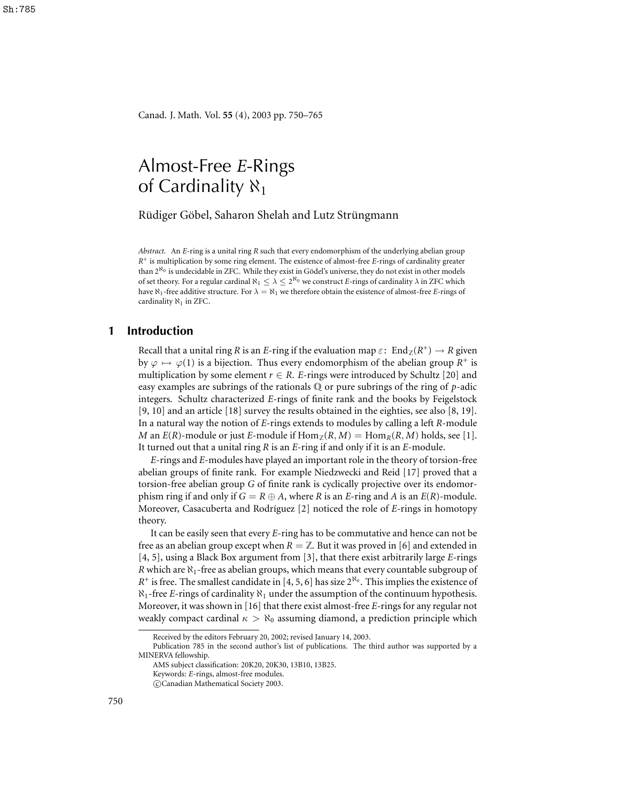Canad. J. Math. Vol. **55** (4), 2003 pp. 750–765

# Almost-Free *E*-Rings of Cardinality  $\aleph_1$

Rüdiger Göbel, Saharon Shelah and Lutz Strüngmann

*Abstract.* An *E*-ring is a unital ring *R* such that every endomorphism of the underlying abelian group *R* + is multiplication by some ring element. The existence of almost-free *E*-rings of cardinality greater than 2<sup>N<sub>0</sub> is undecidable in ZFC. While they exist in Gödel's universe, they do not exist in other models</sup> of set theory. For a regular cardinal  $\aleph_1 \leq \lambda \leq 2^{\aleph_0}$  we construct *E*-rings of cardinality  $\lambda$  in ZFC which have  $\aleph_1$ -free additive structure. For  $\lambda = \aleph_1$  we therefore obtain the existence of almost-free *E*-rings of cardinality  $\aleph_1$  in ZFC.

# **1 Introduction**

Recall that a unital ring *R* is an *E*-ring if the evaluation map  $\varepsilon$ :  $\text{End}_{\mathbb{Z}}(R^+) \to R$  given by  $\varphi \mapsto \varphi(1)$  is a bijection. Thus every endomorphism of the abelian group  $R^+$  is multiplication by some element  $r \in R$ . *E*-rings were introduced by Schultz [20] and easy examples are subrings of the rationals Q or pure subrings of the ring of *p*-adic integers. Schultz characterized *E*-rings of finite rank and the books by Feigelstock [9, 10] and an article [18] survey the results obtained in the eighties, see also [8, 19]. In a natural way the notion of *E*-rings extends to modules by calling a left *R*-module *M* an *E*(*R*)-module or just *E*-module if  $\text{Hom}_{\mathbb{Z}}(R, M) = \text{Hom}_{R}(R, M)$  holds, see [1]. It turned out that a unital ring *R* is an *E*-ring if and only if it is an *E*-module.

*E*-rings and *E*-modules have played an important role in the theory of torsion-free abelian groups of finite rank. For example Niedzwecki and Reid [17] proved that a torsion-free abelian group *G* of finite rank is cyclically projective over its endomorphism ring if and only if  $G = R \oplus A$ , where *R* is an *E*-ring and *A* is an *E*(*R*)-module. Moreover, Casacuberta and Rodríguez [2] noticed the role of *E*-rings in homotopy theory.

It can be easily seen that every *E*-ring has to be commutative and hence can not be free as an abelian group except when  $R = \mathbb{Z}$ . But it was proved in [6] and extended in [4, 5], using a Black Box argument from [3], that there exist arbitrarily large *E*-rings *R* which are  $\aleph_1$ -free as abelian groups, which means that every countable subgroup of  $R^+$  is free. The smallest candidate in [4, 5, 6] has size  $2^{\aleph_0}$ . This implies the existence of  $\aleph_1$ -free *E*-rings of cardinality  $\aleph_1$  under the assumption of the continuum hypothesis. Moreover, it was shown in [16] that there exist almost-free *E*-rings for any regular not weakly compact cardinal  $\kappa > \aleph_0$  assuming diamond, a prediction principle which

Received by the editors February 20, 2002; revised January 14, 2003.

Publication 785 in the second author's list of publications. The third author was supported by a MINERVA fellowship.

AMS subject classification: 20K20, 20K30, 13B10, 13B25.

Keywords: *E*-rings, almost-free modules.

c Canadian Mathematical Society 2003.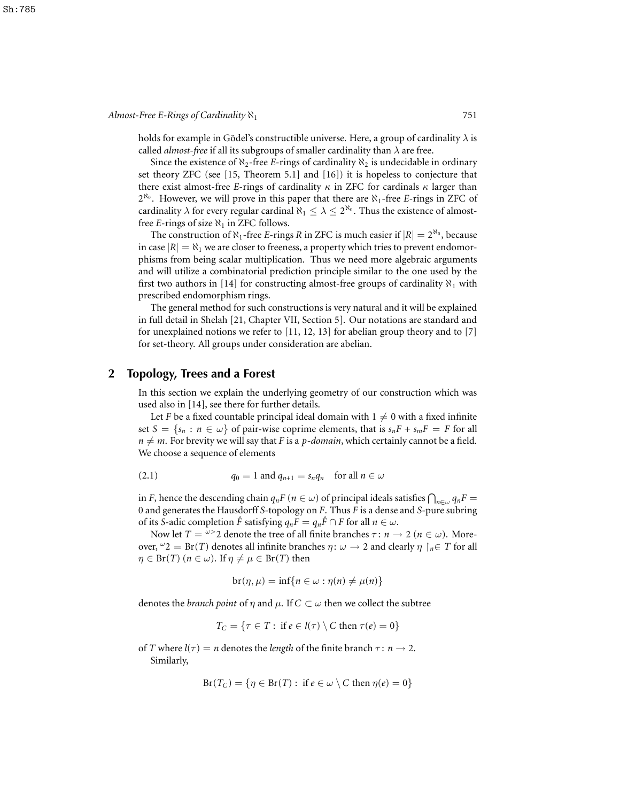holds for example in Gödel's constructible universe. Here, a group of cardinality  $\lambda$  is called *almost-free* if all its subgroups of smaller cardinality than  $\lambda$  are free.

Since the existence of  $\aleph_2$ -free *E*-rings of cardinality  $\aleph_2$  is undecidable in ordinary set theory ZFC (see [15, Theorem 5.1] and [16]) it is hopeless to conjecture that there exist almost-free *E*-rings of cardinality  $\kappa$  in ZFC for cardinals  $\kappa$  larger than 2<sup>N<sub>0</sub></sup>. However, we will prove in this paper that there are N<sub>1</sub>-free *E*-rings in ZFC of cardinality  $\lambda$  for every regular cardinal  $\aleph_1 \leq \lambda \leq 2^{\aleph_0}.$  Thus the existence of almostfree *E*-rings of size  $\aleph_1$  in ZFC follows.

The construction of  $\aleph_1$ -free *E*-rings *R* in ZFC is much easier if  $|R| = 2^{\aleph_0}$ , because in case  $|R| = \aleph_1$  we are closer to freeness, a property which tries to prevent endomorphisms from being scalar multiplication. Thus we need more algebraic arguments and will utilize a combinatorial prediction principle similar to the one used by the first two authors in [14] for constructing almost-free groups of cardinality  $\aleph_1$  with prescribed endomorphism rings.

The general method for such constructions is very natural and it will be explained in full detail in Shelah [21, Chapter VII, Section 5]. Our notations are standard and for unexplained notions we refer to [11, 12, 13] for abelian group theory and to [7] for set-theory. All groups under consideration are abelian.

## **2 Topology, Trees and a Forest**

In this section we explain the underlying geometry of our construction which was used also in [14], see there for further details.

Let *F* be a fixed countable principal ideal domain with  $1 \neq 0$  with a fixed infinite set  $S = \{s_n : n \in \omega\}$  of pair-wise coprime elements, that is  $s_n F + s_m F = F$  for all  $n \neq m$ . For brevity we will say that *F* is a *p-domain*, which certainly cannot be a field. We choose a sequence of elements

(2.1) 
$$
q_0 = 1 \text{ and } q_{n+1} = s_n q_n \text{ for all } n \in \omega
$$

in *F*, hence the descending chain  $q_n F$  ( $n \in \omega$ ) of principal ideals satisfies  $\bigcap_{n \in \omega} q_n F =$ 0 and generates the Hausdorff *S*-topology on *F*. Thus *F* is a dense and *S*-pure subring of its *S*-adic completion  $\hat{F}$  satisfying  $q_n F = q_n \hat{F} \cap F$  for all  $n \in \omega$ .

Now let  $T = \frac{\omega}{2}$  denote the tree of all finite branches  $\tau : n \to 2$  ( $n \in \omega$ ). Moreover,  $\omega$  2 = Br(*T*) denotes all infinite branches  $\eta$ :  $\omega$   $\rightarrow$  2 and clearly  $\eta \restriction_{n \in T}$  for all  $\eta \in \text{Br}(T)$  ( $n \in \omega$ ). If  $\eta \neq \mu \in \text{Br}(T)$  then

$$
\mathrm{br}(\eta,\mu)=\inf\{n\in\omega:\eta(n)\neq\mu(n)\}
$$

denotes the *branch* point of  $\eta$  and  $\mu$ . If  $C \subset \omega$  then we collect the subtree

$$
T_C = \{ \tau \in T : \text{ if } e \in l(\tau) \setminus C \text{ then } \tau(e) = 0 \}
$$

of *T* where  $l(\tau) = n$  denotes the *length* of the finite branch  $\tau : n \to 2$ . Similarly,

$$
Br(T_C) = \{ \eta \in Br(T) : \text{ if } e \in \omega \setminus C \text{ then } \eta(e) = 0 \}
$$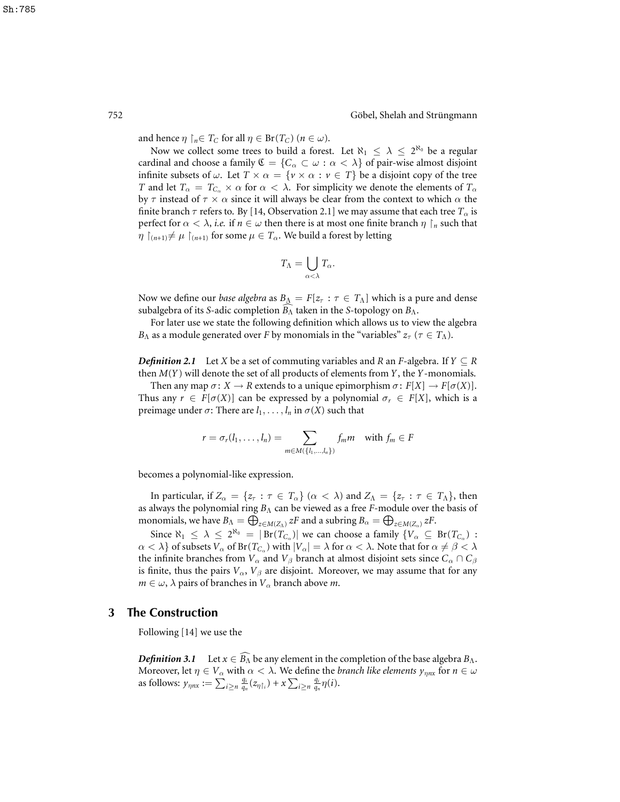and hence  $\eta \restriction_n \in T_C$  for all  $\eta \in \text{Br}(T_C)$   $(n \in \omega)$ .

Now we collect some trees to build a forest. Let  $\aleph_1 \leq \lambda \leq 2^{\aleph_0}$  be a regular cardinal and choose a family  $\mathfrak{C} = \{C_\alpha \subset \omega : \alpha < \lambda\}$  of pair-wise almost disjoint infinite subsets of  $\omega$ . Let  $T \times \alpha = \{v \times \alpha : v \in T\}$  be a disjoint copy of the tree *T* and let  $T_\alpha = T_{C_\alpha} \times \alpha$  for  $\alpha < \lambda$ . For simplicity we denote the elements of  $T_\alpha$ by  $\tau$  instead of  $\tau \times \alpha$  since it will always be clear from the context to which  $\alpha$  the finite branch  $\tau$  refers to. By [14, Observation 2.1] we may assume that each tree  $T_{\alpha}$  is perfect for  $\alpha < \lambda$ , *i.e.* if  $n \in \omega$  then there is at most one finite branch  $\eta \upharpoonright_n$  such that  $\eta$   $\vert_{(n+1)} \neq \mu$   $\vert_{(n+1)}$  for some  $\mu \in T_\alpha$ . We build a forest by letting

$$
T_{\Lambda} = \bigcup_{\alpha < \lambda} T_{\alpha}.
$$

Now we define our *base algebra* as  $B_{\Lambda} = F[z_{\tau} : \tau \in T_{\Lambda}]$  which is a pure and dense subalgebra of its *S*-adic completion  $B_\Lambda$  taken in the *S*-topology on  $B_\Lambda$ .

For later use we state the following definition which allows us to view the algebra *B*<sub>Λ</sub> as a module generated over *F* by monomials in the "variables"  $z_{\tau}$  ( $\tau \in T_{\Lambda}$ ).

*Definition* 2.1 Let *X* be a set of commuting variables and *R* an *F*-algebra. If  $Y \subseteq R$ then *M*(*Y*) will denote the set of all products of elements from *Y*, the *Y*-monomials.

Then any map  $\sigma: X \to R$  extends to a unique epimorphism  $\sigma: F[X] \to F[\sigma(X)]$ . Thus any  $r \in F[\sigma(X)]$  can be expressed by a polynomial  $\sigma_r \in F[X]$ , which is a preimage under  $\sigma$ : There are  $l_1, \ldots, l_n$  in  $\sigma(X)$  such that

$$
r = \sigma_r(l_1,\ldots,l_n) = \sum_{m \in M(\{l_1,\ldots,l_n\})} f_m m \quad \text{with } f_m \in F
$$

becomes a polynomial-like expression.

In particular, if  $Z_\alpha = \{z_\tau : \tau \in T_\alpha\}$  ( $\alpha < \lambda$ ) and  $Z_\Lambda = \{z_\tau : \tau \in T_\Lambda\}$ , then as always the polynomial ring *B*<sup>Λ</sup> can be viewed as a free *F*-module over the basis of monomials, we have  $B_\Lambda = \bigoplus_{z \in M(Z_\Lambda)}^{\infty} zF$  and a subring  $B_\alpha = \bigoplus_{z \in M(Z_\alpha)}^{\infty} zF$ .

Since  $\aleph_1 \leq \lambda \leq 2^{\aleph_0} = |\text{Br}(T_{C_\alpha})|$  we can choose a family  $\{V_\alpha \subseteq \text{Br}(T_{C_\alpha})\}$  $\alpha < \lambda$ } of subsets  $V_\alpha$  of Br( $T_{C_\alpha}$ ) with  $|V_\alpha| = \lambda$  for  $\alpha < \lambda$ . Note that for  $\alpha \neq \beta < \lambda$ the infinite branches from  $V_\alpha$  and  $V_\beta$  branch at almost disjoint sets since  $C_\alpha \cap C_\beta$ is finite, thus the pairs  $V_{\alpha}$ ,  $V_{\beta}$  are disjoint. Moreover, we may assume that for any  $m \in \omega$ ,  $\lambda$  pairs of branches in  $V_\alpha$  branch above *m*.

#### **3 The Construction**

Following [14] we use the

*Definition* 3.1 Let  $x \in \widehat{B_{\Lambda}}$  be any element in the completion of the base algebra  $B_{\Lambda}$ . Moreover, let  $\eta \in V_\alpha$  with  $\alpha < \lambda$ . We define the *branch like elements*  $y_{\eta nx}$  for  $n \in \omega$ as follows:  $y_{\eta nx} := \sum_{i \geq n} \frac{q_i}{q_n}$  $\frac{q_i}{q_n}(z_{\eta\upharpoonright_i}) + x \sum_{i \geq n} \frac{q_i}{q_i}$  $\frac{q_i}{q_n}\eta(i).$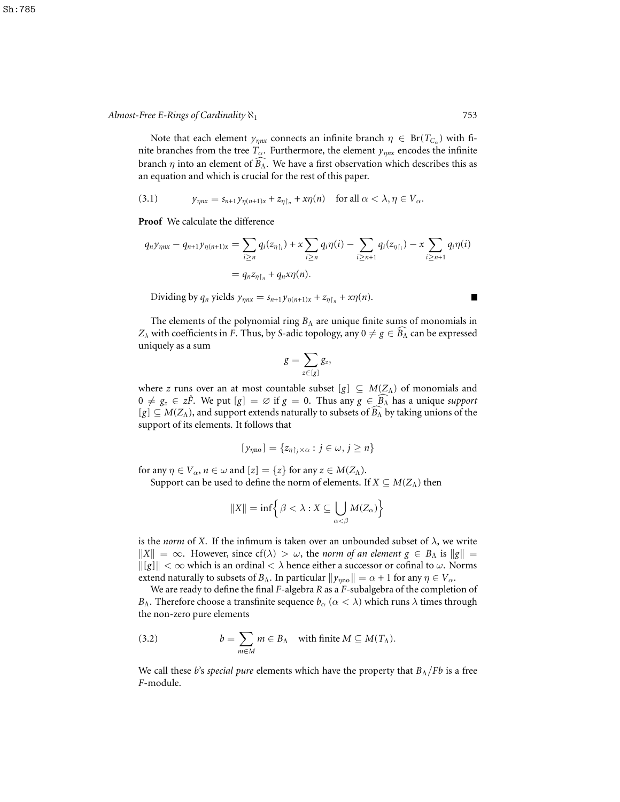Note that each element  $y_{\eta nx}$  connects an infinite branch  $\eta \in Br(T_{C_{\alpha}})$  with finite branches from the tree  $T_{\alpha}$ . Furthermore, the element  $y_{\eta nx}$  encodes the infinite branch  $\eta$  into an element of  $\widehat{B_{\Lambda}}$ . We have a first observation which describes this as an equation and which is crucial for the rest of this paper.

(3.1) 
$$
y_{\eta nx} = s_{n+1} y_{\eta(n+1)x} + z_{\eta \upharpoonright_n} + x \eta(n) \quad \text{for all } \alpha < \lambda, \eta \in V_\alpha.
$$

**Proof** We calculate the difference

$$
q_n y_{\eta nx} - q_{n+1} y_{\eta(n+1)x} = \sum_{i \ge n} q_i(z_{\eta\upharpoonright_i}) + x \sum_{i \ge n} q_i \eta(i) - \sum_{i \ge n+1} q_i(z_{\eta\upharpoonright_i}) - x \sum_{i \ge n+1} q_i \eta(i)
$$
  
=  $q_n z_{\eta\upharpoonright_n} + q_n x \eta(n).$ 

 $\blacksquare$ 

Dividing by  $q_n$  yields  $y_{\eta nx} = s_{n+1} y_{\eta(n+1)x} + z_{\eta \upharpoonright n} + x \eta(n)$ .

The elements of the polynomial ring  $B_\Lambda$  are unique finite sums of monomials in *Z*<sub> $\lambda$ </sub> with coefficients in *F*. Thus, by *S*-adic topology, any  $0 \neq g \in \widehat{B_{\Lambda}}$  can be expressed uniquely as a sum

$$
g=\sum_{z\in [g]}g_z,
$$

where *z* runs over an at most countable subset  $[g] \subseteq M(Z_\Lambda)$  of monomials and  $0 \neq g_z \in z\hat{F}$ . We put  $[g] = \emptyset$  if  $g = 0$ . Thus any  $g \in B_\Lambda$  has a unique *support*  $[g] \subseteq M(Z_\Lambda)$ , and support extends naturally to subsets of  $\widehat{B_\Lambda}$  by taking unions of the support of its elements. It follows that

$$
[y_{\eta \text{no}}] = \{z_{\eta \upharpoonright_j \times \alpha} : j \in \omega, j \geq n\}
$$

for any  $\eta \in V_\alpha$ ,  $n \in \omega$  and  $[z] = \{z\}$  for any  $z \in M(Z_\Lambda)$ .

Support can be used to define the norm of elements. If  $X \subseteq M(Z_\Lambda)$  then

$$
||X|| = \inf \Big\{ \beta < \lambda : X \subseteq \bigcup_{\alpha < \beta} M(Z_{\alpha}) \Big\}
$$

is the *norm* of *X*. If the infimum is taken over an unbounded subset of  $\lambda$ , we write  $\|X\| = \infty$ . However, since  $cf(\lambda) > \omega$ , the *norm* of an element  $g \in B_\Lambda$  is  $\|g\|$  =  $\|g\| < \infty$  which is an ordinal  $< \lambda$  hence either a successor or cofinal to  $\omega$ . Norms extend naturally to subsets of  $B_\Lambda$ . In particular  $\|\gamma_{\eta n0}\| = \alpha + 1$  for any  $\eta \in V_\alpha$ .

We are ready to define the final *F*-algebra *R* as a *F*-subalgebra of the completion of *B*<sub>Λ</sub>. Therefore choose a transfinite sequence  $b_\alpha$  ( $\alpha < \lambda$ ) which runs  $\lambda$  times through the non-zero pure elements

(3.2) 
$$
b = \sum_{m \in M} m \in B_{\Lambda} \text{ with finite } M \subseteq M(T_{\Lambda}).
$$

We call these *b*'s *special pure* elements which have the property that *B*Λ/*Fb* is a free *F*-module.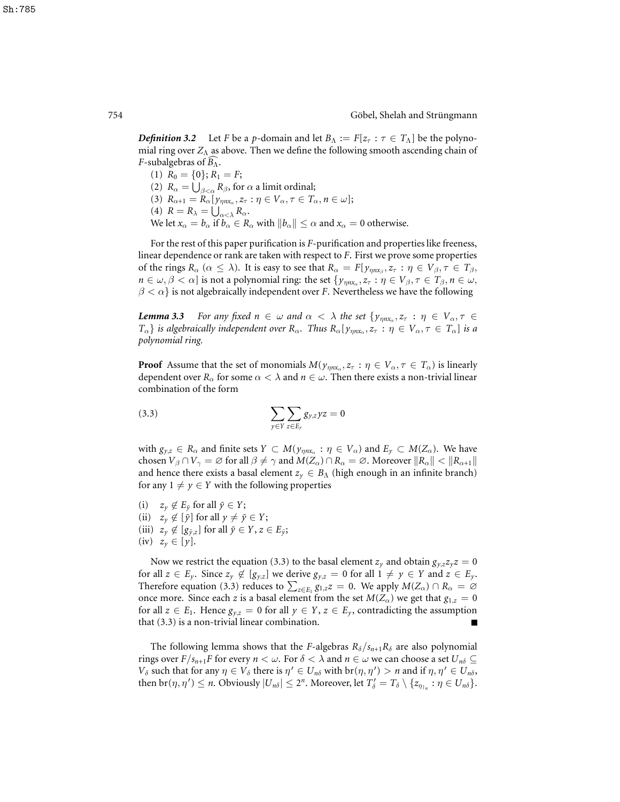*Definition* 3.2 Let *F* be a *p*-domain and let  $B_\Lambda := F[z_\tau : \tau \in T_\Lambda]$  be the polynomial ring over *Z*<sub>Λ</sub> as above. Then we define the following smooth ascending chain of *F*-subalgebras of  $B_\Lambda$ .

(1)  $R_0 = \{0\}; R_1 = F;$ (2)  $R_{\alpha} = \bigcup_{\beta < \alpha} R_{\beta}$ , for  $\alpha$  a limit ordinal; (3)  $R_{\alpha+1} = R_{\alpha} [y_{\eta n x_{\alpha}}, z_{\tau} : \eta \in V_{\alpha}, \tau \in T_{\alpha}, n \in \omega];$ (4)  $R = R_{\lambda} = \bigcup_{\alpha < \lambda} R_{\alpha}$ . We let  $x_\alpha = b_\alpha$  if  $b_\alpha \in R_\alpha$  with  $||b_\alpha|| \leq \alpha$  and  $x_\alpha = 0$  otherwise.

For the rest of this paper purification is *F*-purification and properties like freeness, linear dependence or rank are taken with respect to *F*. First we prove some properties of the rings  $R_\alpha$  ( $\alpha \le \lambda$ ). It is easy to see that  $R_\alpha = F[y_{\eta nx_\beta}, z_\tau : \eta \in V_\beta, \tau \in T_\beta$ ,  $n \in \omega, \beta < \alpha$ ] is not a polynomial ring: the set  $\{y_{\eta n x_\alpha}, z_\tau : \eta \in V_\beta, \tau \in T_\beta, n \in \omega,$  $\beta < \alpha$ } is not algebraically independent over *F*. Nevertheless we have the following

*Lemma* **3.3** • For any fixed  $n \in \omega$  and  $\alpha < \lambda$  the set  $\{y_{\eta n x_\alpha}, z_\tau : \eta \in V_\alpha, \tau \in$  $T_\alpha$ } *is* algebraically independent over  $R_\alpha$ . Thus  $R_\alpha[y_{\eta n x_\alpha}, z_\tau : \eta \in V_\alpha, \tau \in T_\alpha]$  is a *polynomial ring.*

**Proof** Assume that the set of monomials  $M(\gamma_{\eta n x_{\alpha}}, z_{\tau} : \eta \in V_{\alpha}, \tau \in T_{\alpha})$  is linearly dependent over  $R_{\alpha}$  for some  $\alpha < \lambda$  and  $n \in \omega$ . Then there exists a non-trivial linear combination of the form

$$
\sum_{y \in Y} \sum_{z \in E_y} g_{y,z} yz = 0
$$

with  $g_{y,z} \in R_\alpha$  and finite sets  $Y \subset M(\gamma_{\eta n x_\alpha} : \eta \in V_\alpha)$  and  $E_y \subset M(Z_\alpha)$ . We have chosen  $V_\beta \cap V_\gamma = \varnothing$  for all  $\beta \neq \gamma$  and  $M(Z_\alpha) \cap R_\alpha = \varnothing$ . Moreover  $\|R_\alpha\| < \|R_{\alpha+1}\|$ and hence there exists a basal element  $z_y \in B_\Lambda$  (high enough in an infinite branch) for any  $1 \neq y \in Y$  with the following properties

- (i)  $z_y \notin E_{\tilde{y}}$  for all  $\tilde{y} \in Y$ ;
- (ii)  $z_y \notin [\tilde{y}]$  for all  $y \neq \tilde{y} \in Y$ ;
- (iii)  $z_y \notin [g_{\tilde{y},z}]$  for all  $\tilde{y} \in Y, z \in E_{\tilde{y}};$
- (iv)  $z_v \in [y]$ .

Now we restrict the equation (3.3) to the basal element  $z_y$  and obtain  $g_{y,z}z_yz = 0$ for all  $z \in E_y$ . Since  $z_y \notin [g_{y,z}]$  we derive  $g_{y,z} = 0$  for all  $1 \neq y \in Y$  and  $z \in E_y$ . Therefore equation (3.3) reduces to  $\sum_{z \in E_1} g_{1,z} z = 0$ . We apply  $M(Z_\alpha) \cap R_\alpha = \emptyset$ once more. Since each *z* is a basal element from the set  $M(Z_\alpha)$  we get that  $g_{1,z} = 0$ for all  $z \in E_1$ . Hence  $g_{y,z} = 0$  for all  $y \in Y$ ,  $z \in E_y$ , contradicting the assumption that (3.3) is a non-trivial linear combination.

The following lemma shows that the *F*-algebras  $R_{\delta}/s_{n+1}R_{\delta}$  are also polynomial rings over  $F/s_{n+1}F$  for every  $n < \omega$ . For  $\delta < \lambda$  and  $n \in \omega$  we can choose a set  $U_{n\delta} \subseteq$ *V*<sub>δ</sub> such that for any  $\eta \in V_\delta$  there is  $\eta' \in U_{n\delta}$  with  $br(\eta, \eta') > n$  and if  $\eta, \eta' \in U_{n\delta}$ , then  $\text{br}(\eta, \eta') \leq n$ . Obviously  $|U_{n\delta}| \leq 2^n$ . Moreover, let  $T'_{\delta} = T_{\delta} \setminus \{z_{\eta_{\mid n}} : \eta \in U_{n\delta}\}.$ 

Sh:785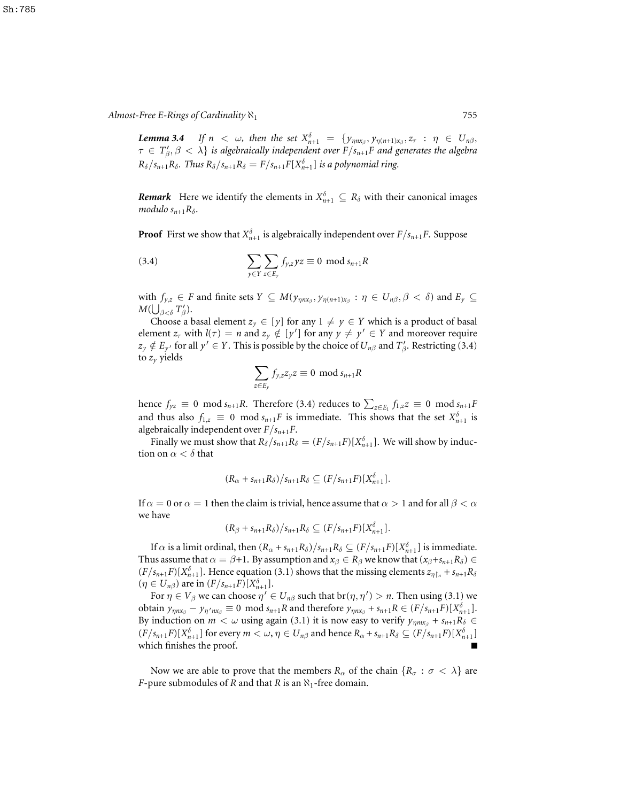*Lemma* 3.4 *If*  $n < \omega$ , then the set  $X_{n+1}^{\delta} = \{y_{\eta nx_{\beta}}, y_{\eta(n+1)x_{\beta}}, z_{\tau} : \eta \in U_{n\beta},$  $\tau \in T'_{\beta}, \beta < \lambda$ } is algebraically independent over  $F/s_{n+1}F$  and generates the algebra  $R_{\delta}/s_{n+1}R_{\delta}$ . *Thus*  $R_{\delta}/s_{n+1}R_{\delta} = F/s_{n+1}F[X_{n+1}^{\delta}]$  *is a polynomial ring.* 

*Remark* Here we identify the elements in  $X_{n+1}^{\delta} \subseteq R_{\delta}$  with their canonical images *modulo*  $s_{n+1}R_\delta$ .

**Proof** First we show that  $X_{n+1}^{\delta}$  is algebraically independent over  $F/s_{n+1}F$ . Suppose

(3.4) 
$$
\sum_{y \in Y} \sum_{z \in E_y} f_{y,z} yz \equiv 0 \mod s_{n+1} R
$$

with  $f_{y,z} \in F$  and finite sets  $Y \subseteq M(\gamma_{\eta n x_\beta}, \gamma_{\eta(n+1)x_\beta} : \eta \in U_{n\beta}, \beta < \delta)$  and  $E_y \subseteq$  $M(\bigcup_{\beta<\delta}^{\qquad} T'_\beta).$ 

Choose a basal element  $z_y \in [y]$  for any  $1 \neq y \in Y$  which is a product of basal element  $z_{\tau}$  with  $l(\tau) = n$  and  $z_{y} \notin [y']$  for any  $y \neq y' \in Y$  and moreover require  $z_y \notin E_{y'}$  for all  $y' \in Y$ . This is possible by the choice of  $U_{n\beta}$  and  $T'_{\beta}$ . Restricting (3.4) to  $z<sub>v</sub>$  yields

$$
\sum_{z \in E_y} f_{y,z} z_y z \equiv 0 \mod s_{n+1} R
$$

hence  $f_{yz} \equiv 0 \mod s_{n+1}R$ . Therefore (3.4) reduces to  $\sum_{z \in E_1} f_{1,z}z \equiv 0 \mod s_{n+1}F$ and thus also  $f_{1,z} \equiv 0 \mod s_{n+1}$  *F* is immediate. This shows that the set  $X_{n+1}^{\delta}$  is algebraically independent over *F*/*sn*+1*F*.

Finally we must show that  $R_\delta/s_{n+1}R_\delta = (F/s_{n+1}F)[X_{n+1}^\delta]$ . We will show by induction on  $\alpha < \delta$  that

$$
(R_{\alpha}+s_{n+1}R_{\delta})/s_{n+1}R_{\delta}\subseteq (F/s_{n+1}F)[X_{n+1}^{\delta}].
$$

If  $\alpha = 0$  or  $\alpha = 1$  then the claim is trivial, hence assume that  $\alpha > 1$  and for all  $\beta < \alpha$ we have

$$
(R_{\beta}+s_{n+1}R_{\delta})/s_{n+1}R_{\delta}\subseteq (F/s_{n+1}F)[X_{n+1}^{\delta}].
$$

If  $\alpha$  is a limit ordinal, then  $(R_{\alpha} + s_{n+1}R_{\delta})/s_{n+1}R_{\delta} \subseteq (F/s_{n+1}F)[X_{n+1}^{\delta}]$  is immediate. Thus assume that  $\alpha = \beta + 1$ . By assumption and  $x_{\beta} \in R_{\beta}$  we know that  $(x_{\beta} + s_{n+1}R_{\delta}) \in$  $(F/S_{n+1}F)[X_{n+1}^{\delta}]$ . Hence equation (3.1) shows that the missing elements  $z_{\eta\restriction_n} + s_{n+1}R_{\delta}$  $(\eta \in U_{n\beta})$  are in  $(F/s_{n+1}F)[X_{n+1}^{\delta}]$ .

For  $\eta \in V_\beta$  we can choose  $\eta' \in U_{n\beta}$  such that  $br(\eta, \eta') > n$ . Then using (3.1) we obtain  $y_{\eta nx_{\beta}} - y_{\eta' nx_{\beta}} \equiv 0 \mod s_{n+1}R$  and therefore  $y_{\eta nx_{\beta}} + s_{n+1}R \in (F/s_{n+1}F)[X_{n+1}^{\delta}].$ By induction on  $m < \omega$  using again (3.1) it is now easy to verify  $y_{\eta m x_\beta} + s_{n+1} R_\delta \in$  $(F/s_{n+1}F)[X_{n+1}^{\delta}]$  for every  $m < \omega, \eta \in U_{n\beta}$  and hence  $R_{\alpha} + s_{n+1}R_{\delta} \subseteq (F/s_{n+1}F)[X_{n+1}^{\delta}]$ which finishes the proof.

Now we are able to prove that the members  $R_{\alpha}$  of the chain  $\{R_{\sigma} : \sigma < \lambda\}$  are *F*-pure submodules of *R* and that *R* is an  $\aleph_1$ -free domain.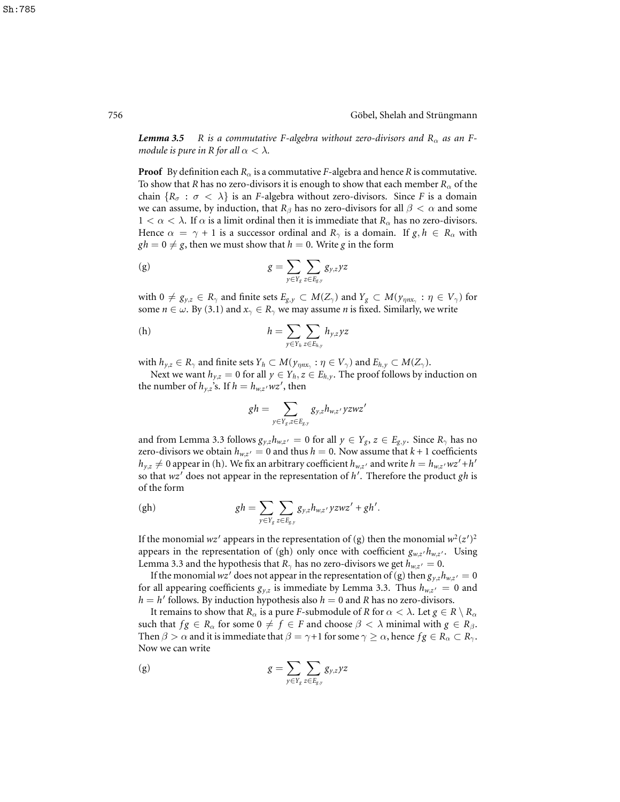*Lemma* **3.5** *R is a commutative F-algebra without zero-divisors and*  $R_{\alpha}$  *as an Fmodule is pure in R for all*  $\alpha < \lambda$ *.* 

**Proof** By definition each  $R_{\alpha}$  is a commutative *F*-algebra and hence *R* is commutative. To show that *R* has no zero-divisors it is enough to show that each member  $R_{\alpha}$  of the chain  ${R_\sigma : \sigma < \lambda}$  is an *F*-algebra without zero-divisors. Since *F* is a domain we can assume, by induction, that  $R_\beta$  has no zero-divisors for all  $\beta < \alpha$  and some  $1 < \alpha < \lambda$ . If  $\alpha$  is a limit ordinal then it is immediate that  $R_{\alpha}$  has no zero-divisors. Hence  $\alpha = \gamma + 1$  is a successor ordinal and  $R_{\gamma}$  is a domain. If  $g, h \in R_{\alpha}$  with  $gh = 0 \neq g$ , then we must show that  $h = 0$ . Write *g* in the form

(g) 
$$
g = \sum_{y \in Y_g} \sum_{z \in E_{g,y}} g_{y,z} yz
$$

with  $0 \neq g_{y,z} \in R_\gamma$  and finite sets  $E_{g,y} \subset M(Z_\gamma)$  and  $Y_g \subset M(y_{\eta nx_\gamma} : \eta \in V_\gamma)$  for some  $n \in \omega$ . By (3.1) and  $x_{\gamma} \in R_{\gamma}$  we may assume *n* is fixed. Similarly, we write

(h) 
$$
h = \sum_{y \in Y_h} \sum_{z \in E_{h,y}} h_{y,z} yz
$$

with  $h_{y,z}\in R_\gamma$  and finite sets  $Y_h\subset M(\gamma_{\eta n x_\gamma}:\eta\in V_\gamma)$  and  $E_{h,y}\subset M(Z_\gamma).$ 

Next we want  $h_{y,z} = 0$  for all  $y \in Y_h, z \in E_{h,y}$ . The proof follows by induction on the number of  $h_{y,z}$ <sup>5</sup>s. If  $h = h_{w,z}$  *wz'*, then

$$
gh = \sum_{y \in Y_g, z \in E_{g,y}} g_{y,z} h_{w,z'} yzwz'
$$

and from Lemma 3.3 follows  $g_{y,z}h_{w,z'} = 0$  for all  $y \in Y_g$ ,  $z \in E_{g,y}$ . Since  $R_\gamma$  has no zero-divisors we obtain  $h_{w,z'} = 0$  and thus  $h = 0$ . Now assume that  $k + 1$  coefficients  $h_{y,z} \neq 0$  appear in (h). We fix an arbitrary coefficient  $h_{w,z'}$  and write  $h = h_{w,z'}wz' + h'$ so that wz<sup>'</sup> does not appear in the representation of h<sup>'</sup>. Therefore the product gh is of the form

$$
(gh) \t gh = \sum_{y \in Y_g} \sum_{z \in E_{g,y}} g_{y,z} h_{w,z'} yzwz' + gh'.
$$

If the monomial  $wz'$  appears in the representation of (g) then the monomial  $w^2(z')^2$ appears in the representation of (gh) only once with coefficient  $g_{w,z'}h_{w,z'}$ . Using Lemma 3.3 and the hypothesis that  $R_{\gamma}$  has no zero-divisors we get  $h_{w,z'} = 0$ .

If the monomial  $wz'$  does not appear in the representation of (g) then  $g_{y,z}h_{w,z'}=0$ for all appearing coefficients  $g_{y,z}$  is immediate by Lemma 3.3. Thus  $h_{w,z'} = 0$  and  $h = h'$  follows. By induction hypothesis also  $h = 0$  and *R* has no zero-divisors.

It remains to show that  $R_\alpha$  is a pure *F*-submodule of *R* for  $\alpha < \lambda$ . Let  $g \in R \setminus R_\alpha$ such that  $fg \in R_\alpha$  for some  $0 \neq f \in F$  and choose  $\beta < \lambda$  minimal with  $g \in R_\beta$ . Then  $\beta > \alpha$  and it is immediate that  $\beta = \gamma + 1$  for some  $\gamma \ge \alpha$ , hence  $fg \in R_\alpha \subset R_\gamma$ . Now we can write

(g) 
$$
g = \sum_{y \in Y_g} \sum_{z \in E_{g,y}} g_{y,z} yz
$$

Sh:785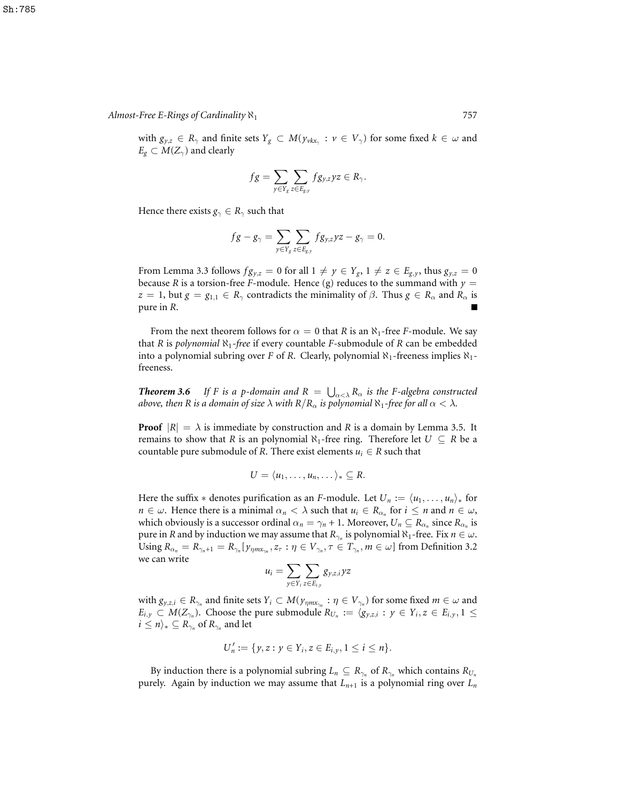with  $g_{y,z} \in R_\gamma$  and finite sets  $Y_g \subset M(y_{\nu k x_\gamma} : \nu \in V_\gamma)$  for some fixed  $k \in \omega$  and  $E_g \subset M(Z_\gamma)$  and clearly

$$
fg = \sum_{y \in Y_g} \sum_{z \in E_{g,y}} fg_{y,z}yz \in R_{\gamma}.
$$

Hence there exists  $g_{\gamma} \in R_{\gamma}$  such that

$$
fg-g_{\gamma}=\sum_{y\in Y_g}\sum_{z\in E_{g,y}}fg_{y,z}yz-g_{\gamma}=0.
$$

From Lemma 3.3 follows  $fg_{y,z} = 0$  for all  $1 \neq y \in Y_g$ ,  $1 \neq z \in E_{g,y}$ , thus  $g_{y,z} = 0$ because *R* is a torsion-free *F*-module. Hence (g) reduces to the summand with  $y =$ *z* = 1, but  $g = g_{1,1} \in R_\gamma$  contradicts the minimality of  $\beta$ . Thus  $g \in R_\alpha$  and  $R_\alpha$  is pure in *R*.

From the next theorem follows for  $\alpha = 0$  that *R* is an  $\aleph_1$ -free *F*-module. We say that *R* is *polynomial*  $\aleph_1$ -free if every countable *F*-submodule of *R* can be embedded into a polynomial subring over *F* of *R*. Clearly, polynomial  $\aleph_1$ -freeness implies  $\aleph_1$ freeness.

*Theorem* **3.6** If *F* is a *p*-domain and  $R = \bigcup_{\alpha < \lambda} R_{\alpha}$  is the *F*-algebra constructed *above, then R is a domain of size*  $\lambda$  *with*  $R/R_\alpha$  *is polynomial*  $\aleph_1$ *-free for all*  $\alpha < \lambda$ *.* 

**Proof**  $|R| = \lambda$  is immediate by construction and R is a domain by Lemma 3.5. It remains to show that *R* is an polynomial  $\aleph_1$ -free ring. Therefore let  $U \subseteq R$  be a countable pure submodule of *R*. There exist elements  $u_i \in R$  such that

$$
U=\langle u_1,\ldots,u_n,\ldots\rangle_*\subseteq R.
$$

Here the suffix  $*$  denotes purification as an *F*-module. Let  $U_n := \langle u_1, \ldots, u_n \rangle_*$  for *n*  $\in \omega$ . Hence there is a minimal  $\alpha_n < \lambda$  such that  $u_i \in R_{\alpha_n}$  for  $i \le n$  and  $n \in \omega$ , which obviously is a successor ordinal  $\alpha_n = \gamma_n + 1$ . Moreover,  $U_n \subseteq R_{\alpha_n}$  since  $R_{\alpha_n}$  is pure in *R* and by induction we may assume that  $R_{\gamma_n}$  is polynomial  $\aleph_1$ -free. Fix  $n \in \omega$ .  $\text{Using } R_{\alpha_n} = R_{\gamma_n + 1} = R_{\gamma_n} [y_{\eta m x_{\gamma_n}}, z_\tau : \eta \in V_{\gamma_n}, \tau \in T_{\gamma_n}, m \in \omega] \text{ from Definition 3.2}$ we can write

$$
u_i = \sum_{y \in Y_i} \sum_{z \in E_{i,y}} g_{y,z,i} yz
$$

with  $g_{y,z,i} \in R_{\gamma_n}$  and finite sets  $Y_i \subset M(y_{\eta m x_{\gamma_n}} : \eta \in V_{\gamma_n})$  for some fixed  $m \in \omega$  and  $E_{i,y} \subset M(Z_{\gamma_n})$ . Choose the pure submodule  $R_{U_n} := \langle g_{y,z,i} : y \in Y_i, z \in E_{i,y}, 1 \leq$  $i\leq n\rangle_{*}\subseteq R_{\gamma_{n}}$  of  $R_{\gamma_{n}}$  and let

$$
U'_n := \{y, z : y \in Y_i, z \in E_{i,y}, 1 \le i \le n\}.
$$

By induction there is a polynomial subring  $L_n \subseteq R_{\gamma_n}$  of  $R_{\gamma_n}$  which contains  $R_{U_n}$ purely. Again by induction we may assume that  $L_{n+1}$  is a polynomial ring over  $L_n$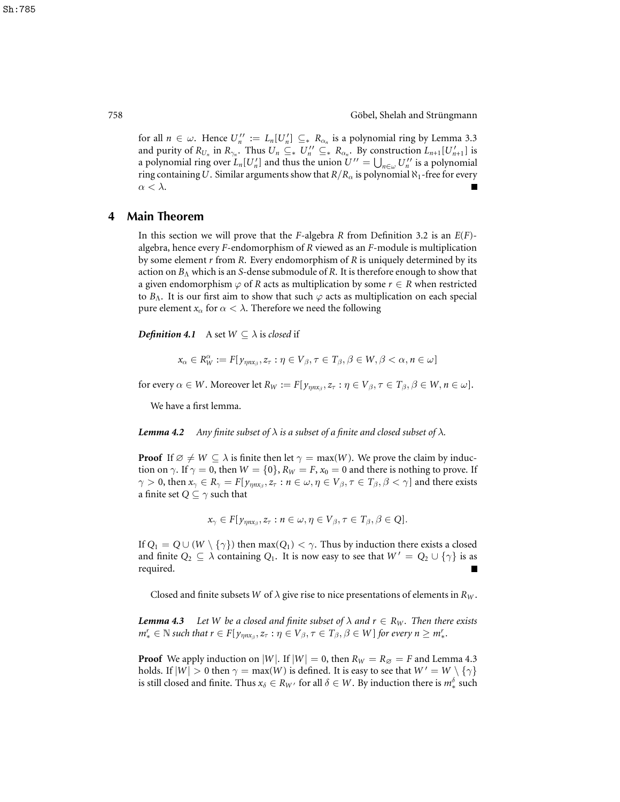for all  $n \in \omega$ . Hence  $U''_n := L_n[U'_n] \subseteq R_{\alpha_n}$  is a polynomial ring by Lemma 3.3 and purity of  $R_{U_n}$  in  $R_{\gamma_n}$ . Thus  $U_n \subseteq \_{*} U_n'' \subseteq \_{*} R_{\alpha_n}$ . By construction  $L_{n+1}[U_{n+1}'']$  is a polynomial ring over  $L_n[U'_n]$  and thus the union  $U'' = \bigcup_{n \in \omega} U''_n$  is a polynomial ring containing *U*. Similar arguments show that  $R/R_\alpha$  is polynomial  $\aleph_1$ -free for every  $\alpha < \lambda$ .

### **4 Main Theorem**

In this section we will prove that the *F*-algebra *R* from Definition 3.2 is an *E*(*F*) algebra, hence every *F*-endomorphism of *R* viewed as an *F*-module is multiplication by some element *r* from *R*. Every endomorphism of *R* is uniquely determined by its action on  $B_\Lambda$  which is an *S*-dense submodule of *R*. It is therefore enough to show that a given endomorphism  $\varphi$  of *R* acts as multiplication by some  $r \in R$  when restricted to  $B_\Lambda$ . It is our first aim to show that such  $\varphi$  acts as multiplication on each special pure element  $x_\alpha$  for  $\alpha < \lambda$ . Therefore we need the following

*Definition* 4.1 A set  $W \subseteq \lambda$  is *closed* if

$$
x_{\alpha} \in R_W^{\alpha} := F[y_{\eta n x_{\beta}}, z_{\tau} : \eta \in V_{\beta}, \tau \in T_{\beta}, \beta \in W, \beta < \alpha, n \in \omega]
$$

for every  $\alpha \in W$ . Moreover let  $R_W := F[y_{\eta n x_\beta}, z_\tau : \eta \in V_\beta, \tau \in T_\beta, \beta \in W, n \in \omega]$ .

We have a first lemma.

*Lemma* **4.2** Any finite subset of  $\lambda$  is a subset of a finite and closed subset of  $\lambda$ .

**Proof** If  $\emptyset \neq W \subseteq \lambda$  is finite then let  $\gamma = \max(W)$ . We prove the claim by induction on  $\gamma$ . If  $\gamma = 0$ , then  $W = \{0\}$ ,  $R_W = F$ ,  $x_0 = 0$  and there is nothing to prove. If  $\gamma > 0$ , then  $x_\gamma \in R_\gamma = F[y_{\eta n x_\beta}, z_\tau : n \in \omega, \eta \in V_\beta, \tau \in T_\beta, \beta < \gamma]$  and there exists a finite set  $Q \subseteq \gamma$  such that

$$
x_{\gamma} \in F[y_{\eta n x_{\beta}}, z_{\tau} : n \in \omega, \eta \in V_{\beta}, \tau \in T_{\beta}, \beta \in Q].
$$

If  $Q_1 = Q \cup (W \setminus \{\gamma\})$  then max $(Q_1) < \gamma$ . Thus by induction there exists a closed and finite  $Q_2 \subseteq \lambda$  containing  $Q_1$ . It is now easy to see that  $W' = Q_2 \cup {\gamma}$  is as required.

Closed and finite subsets *W* of  $\lambda$  give rise to nice presentations of elements in  $R_W$ .

*Lemma* 4.3 *Let W be a closed and finite subset of*  $\lambda$  *and*  $r \in R_W$ *. Then there exists*  $m_*^r \in \mathbb{N}$  such that  $r \in F[y_{\eta nx_\beta}, z_\tau : \eta \in V_\beta, \tau \in T_\beta, \beta \in W]$  for every  $n \geq m_*^r$ .

**Proof** We apply induction on |*W*|. If  $|W| = 0$ , then  $R_W = R_\emptyset = F$  and Lemma 4.3 holds. If  $|W| > 0$  then  $\gamma = \max(W)$  is defined. It is easy to see that  $W' = W \setminus {\gamma}$ is still closed and finite. Thus  $x_\delta \in R_{W'}$  for all  $\delta \in W$ . By induction there is  $m_*^\delta$  such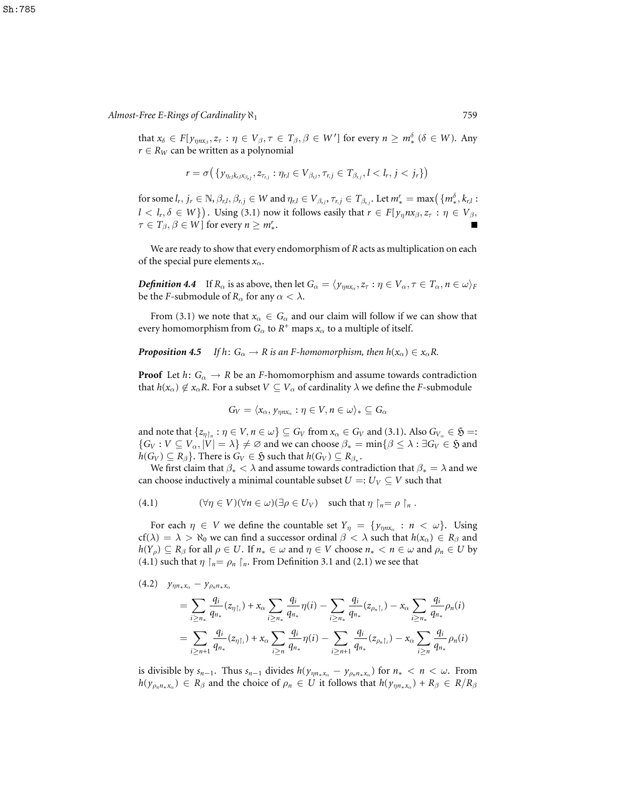$\text{that } x_{\delta} \in F[y_{\eta n x_{\beta}}, z_{\tau}: \eta \in V_{\beta}, \tau \in T_{\beta}, \beta \in W'] \text{ for every } n \geq m_*^{\delta} \ (\delta \in W). \text{ Any}$  $r \in R_W$  can be written as a polynomial

$$
r=\sigma\big(\{y_{\eta_{\text{r},l}k_{\text{r},l}x_{\beta_{\text{r},l}}},z_{\tau_{\text{r},j}}:\eta_{\text{r},l}\in V_{\beta_{\text{r},l}},\tau_{\text{r},j}\in T_{\beta_{\text{r},j}},l
$$

for some  $l_r, j_r \in \mathbb{N}, \beta_{r,l}, \beta_{r,j} \in W$  and  $\eta_{r,l} \in V_{\beta_{r,l}}, \tau_{r,j} \in T_{\beta_{r,j}}$ . Let  $m_*^r = \max(\{m_*^\delta, k_{r,l}:$  $l < l_r, \delta \in W$ }). Using (3.1) now it follows easily that  $r \in F[y_n n x_\beta, z_\tau : \eta \in V_\beta,$  $\tau \in T_\beta, \beta \in W$ ] for every  $n \geq m^r_*$ .

We are ready to show that every endomorphism of *R* acts as multiplication on each of the special pure elements  $x_\alpha$ .

*Definition* 4.4 If  $R_{\alpha}$  is as above, then let  $G_{\alpha} = \langle y_{\eta n x_{\alpha}}, z_{\tau} : \eta \in V_{\alpha}, \tau \in T_{\alpha}, n \in \omega \rangle_F$ be the *F*-submodule of  $R_\alpha$  for any  $\alpha < \lambda$ .

From (3.1) we note that  $x_\alpha \in G_\alpha$  and our claim will follow if we can show that every homomorphism from  $G_\alpha$  to  $R^+$  maps  $x_\alpha$  to a multiple of itself.

#### *Proposition* 4.5 *If*  $h: G_\alpha \to R$  *is an F-homomorphism, then*  $h(x_\alpha) \in x_\alpha R$ .

**Proof** Let  $h: G_\alpha \to R$  be an *F*-homomorphism and assume towards contradiction that  $h(x_\alpha) \notin x_\alpha R$ . For a subset  $V \subseteq V_\alpha$  of cardinality  $\lambda$  we define the *F*-submodule

$$
G_V = \langle x_\alpha, y_{\eta n x_\alpha} : \eta \in V, n \in \omega \rangle_* \subseteq G_\alpha
$$

and note that  $\{z_{\eta\upharpoonright_n} : \eta \in V, n \in \omega\} \subseteq G_V$  from  $x_\alpha \in G_V$  and (3.1). Also  $G_{V_\alpha} \in \mathfrak{H} =:$  ${G_V : V \subseteq V_\alpha, |V| = \lambda} \neq \emptyset$  and we can choose  $\beta_* = \min\{\beta \leq \lambda : \exists G_V \in \mathfrak{H} \text{ and } G_V\}$  $h(G_V) \subseteq R_\beta$ . There is  $G_V \in \mathfrak{H}$  such that  $h(G_V) \subseteq R_{\beta_*}$ .

We first claim that  $\beta_* < \lambda$  and assume towards contradiction that  $\beta_* = \lambda$  and we can choose inductively a minimal countable subset  $U =: U_V \subseteq V$  such that

(4.1) 
$$
(\forall \eta \in V)(\forall n \in \omega)(\exists \rho \in U_V) \text{ such that } \eta \upharpoonright_n = \rho \upharpoonright_n.
$$

For each  $\eta \in V$  we define the countable set  $Y_{\eta} = \{y_{\eta n x_{\alpha}} : n < \omega\}$ . Using cf( $\lambda$ ) =  $\lambda$  >  $\aleph_0$  we can find a successor ordinal  $\beta < \lambda$  such that  $h(x_\alpha) \in R_\beta$  and  $h(Y_{\rho}) \subseteq R_{\beta}$  for all  $\rho \in U$ . If  $n_* \in \omega$  and  $\eta \in V$  choose  $n_* < n \in \omega$  and  $\rho_n \in U$  by (4.1) such that  $\eta \restriction_n = \rho_n \restriction_n$ . From Definition 3.1 and (2.1) we see that

$$
(4.2) \quad y_{\eta n_{*}x_{\alpha}} - y_{\rho_{n}n_{*}x_{\alpha}}
$$
\n
$$
= \sum_{i \geq n_{*}} \frac{q_{i}}{q_{n_{*}}} (z_{\eta \upharpoonright i}) + x_{\alpha} \sum_{i \geq n_{*}} \frac{q_{i}}{q_{n_{*}}} \eta(i) - \sum_{i \geq n_{*}} \frac{q_{i}}{q_{n_{*}}} (z_{\rho_{n} \upharpoonright i}) - x_{\alpha} \sum_{i \geq n_{*}} \frac{q_{i}}{q_{n_{*}}} \rho_{n}(i)
$$
\n
$$
= \sum_{i \geq n+1} \frac{q_{i}}{q_{n_{*}}} (z_{\eta \upharpoonright i}) + x_{\alpha} \sum_{i \geq n} \frac{q_{i}}{q_{n_{*}}} \eta(i) - \sum_{i \geq n+1} \frac{q_{i}}{q_{n_{*}}} (z_{\rho_{n} \upharpoonright i}) - x_{\alpha} \sum_{i \geq n} \frac{q_{i}}{q_{n_{*}}} \rho_{n}(i)
$$

is divisible by  $s_{n-1}$ . Thus  $s_{n-1}$  divides  $h(y_{\eta n \star x_\alpha} - y_{\rho_n n \star x_\alpha})$  for  $n \star < n < \omega$ . From  $h(y_{\rho_n n * x_\alpha}) \in R_\beta$  and the choice of  $\rho_n \in U$  it follows that  $h(y_{\eta n * x_\alpha}) + R_\beta \in R/R_\beta$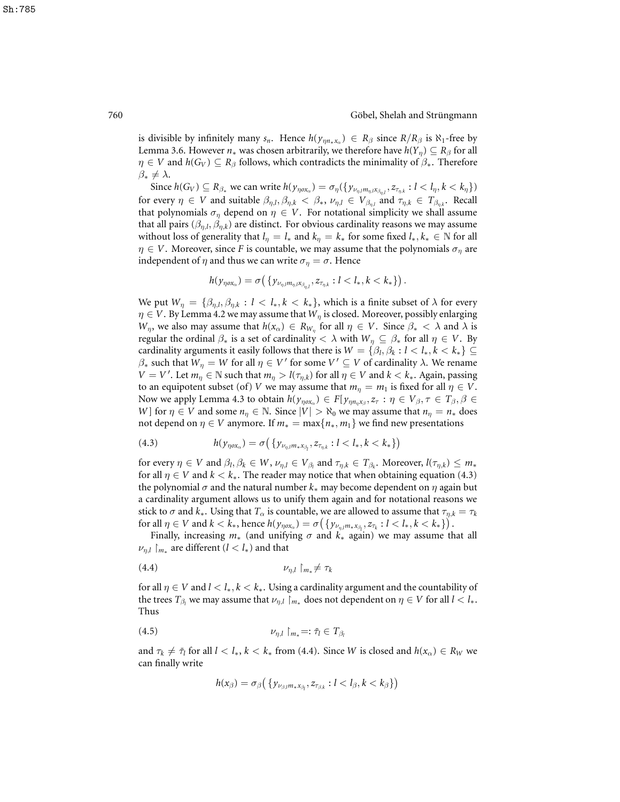is divisible by infinitely many  $s_n$ . Hence  $h(y_{\eta n \star x_\alpha}) \in R_\beta$  since  $R/R_\beta$  is  $\aleph_1$ -free by Lemma 3.6. However  $n_*$  was chosen arbitrarily, we therefore have  $h(Y_n) \subseteq R_\beta$  for all  $\eta \in V$  and  $h(G_V) \subseteq R_\beta$  follows, which contradicts the minimality of  $\beta_*$ . Therefore  $\beta_* \neq \lambda$ .

Since  $h(G_V) \subseteq R_{\beta_*}$  we can write  $h(y_{\eta \alpha \alpha}) = \sigma_{\eta}(\{y_{\nu_{\eta,l} m_{\eta,l} x_{\beta_{\eta,l}}}, z_{\tau_{\eta,k}} : l < l_{\eta}, k < k_{\eta}\})$ for every  $\eta \in V$  and suitable  $\beta_{\eta,l}, \beta_{\eta,k} < \beta_*$ ,  $\nu_{\eta,l} \in V_{\beta_{\eta,l}}$  and  $\tau_{\eta,k} \in T_{\beta_{\eta,k}}$ . Recall that polynomials  $\sigma_{\eta}$  depend on  $\eta \in V$ . For notational simplicity we shall assume that all pairs  $(\beta_{\eta,l}, \beta_{\eta,k})$  are distinct. For obvious cardinality reasons we may assume without loss of generality that  $l_{\eta} = l_*$  and  $k_{\eta} = k_*$  for some fixed  $l_*, k_* \in \mathbb{N}$  for all  $\eta \in V$ . Moreover, since *F* is countable, we may assume that the polynomials  $\sigma_{\eta}$  are independent of  $\eta$  and thus we can write  $\sigma_{\eta} = \sigma$ . Hence

$$
h(\mathbf{y}_{\eta \alpha \mathbf{x}_{\alpha}}) = \sigma\big(\{\mathbf{y}_{\nu_{\eta,l}m_{\eta,l}\mathbf{x}_{\beta_{\eta,l}}}, \mathbf{z}_{\tau_{\eta,k}}: l < l_*, k < k_*\}\big).
$$

We put  $W_{\eta} = \{\beta_{\eta,l}, \beta_{\eta,k} : l < l_*, k < k_*\}$ , which is a finite subset of  $\lambda$  for every  $\eta \in V$ . By Lemma 4.2 we may assume that  $W_{\eta}$  is closed. Moreover, possibly enlarging *W*<sub>η</sub>, we also may assume that  $h(x_\alpha) \in R_{W_\eta}$  for all  $\eta \in V$ . Since  $\beta_* < \lambda$  and  $\lambda$  is regular the ordinal  $\beta_*$  is a set of cardinality  $\langle \lambda \rangle$  with  $W_\eta \subseteq \beta_*$  for all  $\eta \in V$ . By cardinality arguments it easily follows that there is  $W = \{ \beta_l, \beta_k : l < l_*, k < k_* \} \subseteq$  $β_*$  such that  $W_\eta = W$  for all  $η ∈ V'$  for some  $V' ⊆ V$  of cardinality  $λ$ . We rename  $V = V'$ . Let  $m_{\eta} \in \mathbb{N}$  such that  $m_{\eta} > l(\tau_{\eta,k})$  for all  $\eta \in V$  and  $k < k_*$ . Again, passing to an equipotent subset (of) *V* we may assume that  $m_{\eta} = m_1$  is fixed for all  $\eta \in V$ . Now we apply Lemma 4.3 to obtain  $h(y_{\eta \alpha \alpha}) \in F[y_{\eta n_{\eta} x_{\beta}}, z_{\tau} : \eta \in V_{\beta}, \tau \in T_{\beta}, \beta \in$ *W*] for  $\eta \in V$  and some  $n_{\eta} \in \mathbb{N}$ . Since  $|V| > \aleph_0$  we may assume that  $n_{\eta} = n_*$  does not depend on  $\eta \in V$  anymore. If  $m_* = \max\{n_*, m_1\}$  we find new presentations

(4.3) 
$$
h(y_{\eta \circ x_{\alpha}}) = \sigma\big(\{y_{\nu_{\eta,l}m_*x_{\beta_l}}, z_{\tau_{\eta,k}} : l < l_*, k < k_*\}\big)
$$

for every  $\eta \in V$  and  $\beta_l, \beta_k \in W$ ,  $\nu_{\eta,l} \in V_{\beta_l}$  and  $\tau_{\eta,k} \in T_{\beta_k}$ . Moreover,  $l(\tau_{\eta,k}) \leq m_*$ for all  $\eta \in V$  and  $k < k_*$ . The reader may notice that when obtaining equation (4.3) the polynomial  $\sigma$  and the natural number  $k_*$  may become dependent on  $\eta$  again but a cardinality argument allows us to unify them again and for notational reasons we stick to  $\sigma$  and  $k_*$ . Using that  $T_\alpha$  is countable, we are allowed to assume that  $\tau_{\eta,k} = \tau_k$ for all  $\eta \in V$  and  $k < k_*$ , hence  $h(y_{\eta \circ x_\alpha}) = \sigma\left(\{y_{\nu_{\eta,l}m_*x_{\beta_l}}, z_{\tau_k} : l < l_*, k < k_*\}\right).$ 

Finally, increasing  $m$ <sup>\*</sup> (and unifying  $\sigma$  and  $k$ <sup>\*</sup> again) we may assume that all  $\nu_{\eta,l}\restriction_{m_*}$  are different  $(l < l_*)$  and that

$$
(4.4) \t\t\t\nu_{\eta,l} \upharpoonright_{m_*} \neq \tau_k
$$

for all  $\eta \in V$  and  $l < l_*, k < k_*$ . Using a cardinality argument and the countability of the trees  $T_{\beta_l}$  we may assume that  $\nu_{\eta,l} \upharpoonright_{m_*}$  does not dependent on  $\eta \in V$  for all  $l < l_*$ . Thus

$$
(4.5) \t\t\t \nu_{\eta,l} \upharpoonright_{m_*} =: \bar{\tau}_l \in T_{\beta_l}
$$

and  $\tau_k \neq \bar{\tau}_l$  for all  $l < l_*$ ,  $k < k_*$  from (4.4). Since *W* is closed and  $h(x_\alpha) \in R_W$  we can finally write

$$
h(\boldsymbol{x}_{\beta}) = \sigma_{\beta} \big( \{ \boldsymbol{y}_{\nu_{\beta,l} m_{*} \boldsymbol{x}_{\beta_l}}, \boldsymbol{z}_{\tau_{\beta,k}} : l < l_{\beta}, k < k_{\beta} \} \big)
$$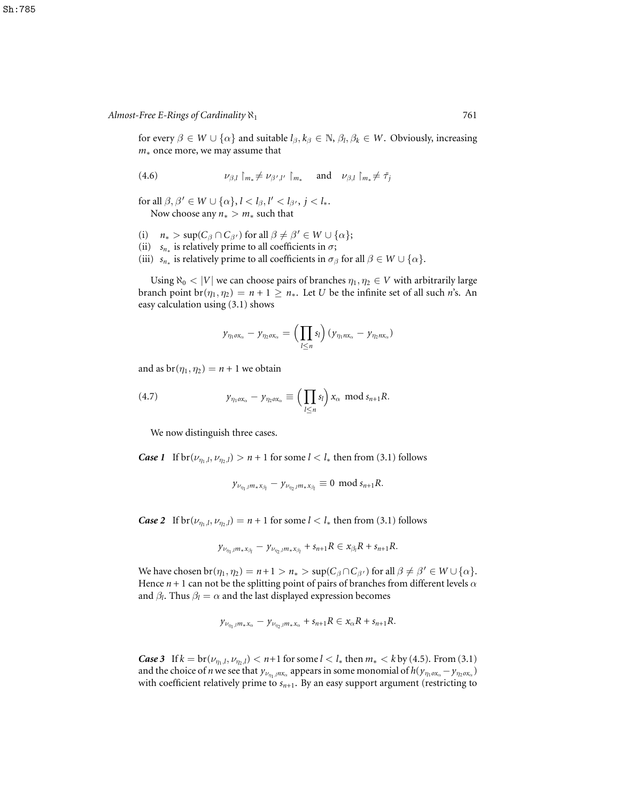for every  $\beta \in W \cup \{\alpha\}$  and suitable  $l_\beta, k_\beta \in \mathbb{N}, \beta_l, \beta_k \in W$ . Obviously, increasing *m*<sup>∗</sup> once more, we may assume that

(4.6) 
$$
\nu_{\beta,l} \upharpoonright_{m_*} \neq \nu_{\beta',l'} \upharpoonright_{m_*} \quad \text{and} \quad \nu_{\beta,l} \upharpoonright_{m_*} \neq \bar{\tau}_j
$$

for all  $\beta, \beta' \in W \cup \{\alpha\}, l < l_{\beta}, l' < l_{\beta'}, j < l_*$ . Now choose any  $n_* > m_*$  such that

- (i)  $n_* > \sup(C_\beta \cap C_{\beta'})$  for all  $\beta \neq \beta' \in W \cup \{\alpha\};$
- (ii)  $s_{n*}$  is relatively prime to all coefficients in  $\sigma$ ;
- (iii)  $s_{n*}$  is relatively prime to all coefficients in  $\sigma_\beta$  for all  $\beta \in W \cup \{\alpha\}.$

Using  $\aleph_0 < |V|$  we can choose pairs of branches  $\eta_1, \eta_2 \in V$  with arbitrarily large branch point  $br(\eta_1, \eta_2) = n + 1 \ge n_*$ . Let *U* be the infinite set of all such *n*'s. An easy calculation using (3.1) shows

$$
y_{\eta_1\alpha x_\alpha}-y_{\eta_2\alpha x_\alpha}=\Big(\prod_{l\leq n}s_l\Big)(y_{\eta_1nx_\alpha}-y_{\eta_2nx_\alpha})
$$

and as  $br(\eta_1, \eta_2) = n + 1$  we obtain

(4.7) 
$$
y_{\eta_1 \circ x_\alpha} - y_{\eta_2 \circ x_\alpha} \equiv \left( \prod_{l \leq n} s_l \right) x_\alpha \mod s_{n+1} R.
$$

We now distinguish three cases.

*Case 1* If  $\text{br}(\nu_{\eta_1,l}, \nu_{\eta_2,l}) > n + 1$  for some  $l < l_*$  then from (3.1) follows

$$
y_{\nu_{\eta_1,l}m_*x_{\beta_l}}-y_{\nu_{\eta_2,l}m_*x_{\beta_l}}\equiv 0\ \ \text{mod}\ s_{n+1}R.
$$

*Case* 2 If  $\text{br}(\nu_{\eta_1,l}, \nu_{\eta_2,l}) = n + 1$  for some  $l < l_*$  then from (3.1) follows

$$
y_{\nu_{\eta_1,l}m_*x_{\beta_l}}-y_{\nu_{\eta_2,l}m_*x_{\beta_l}}+s_{n+1}R\in x_{\beta_l}R+s_{n+1}R.
$$

We have chosen  $br(\eta_1, \eta_2) = n + 1 > n_* > sup(C_\beta \cap C_{\beta'})$  for all  $\beta \neq \beta' \in W \cup {\alpha}.$ Hence  $n + 1$  can not be the splitting point of pairs of branches from different levels  $\alpha$ and  $\beta_l$ . Thus  $\beta_l = \alpha$  and the last displayed expression becomes

$$
y_{\nu_{\eta_1, l}m_*x_\alpha}-y_{\nu_{\eta_2, l}m_*x_\alpha}+s_{n+1}R\in x_\alpha R+s_{n+1}R.
$$

*Case* 3 If  $k = \text{br}(v_{\eta_1,l}, v_{\eta_2,l}) < n+1$  for some  $l < l_*$  then  $m_* < k$  by (4.5). From (3.1) and the choice of *n* we see that  $y_{\nu_{\eta_1},\mu x_\alpha}$  appears in some monomial of  $h(y_{\eta_1\alpha x_\alpha}-y_{\eta_2\alpha x_\alpha})$ with coefficient relatively prime to  $s_{n+1}$ . By an easy support argument (restricting to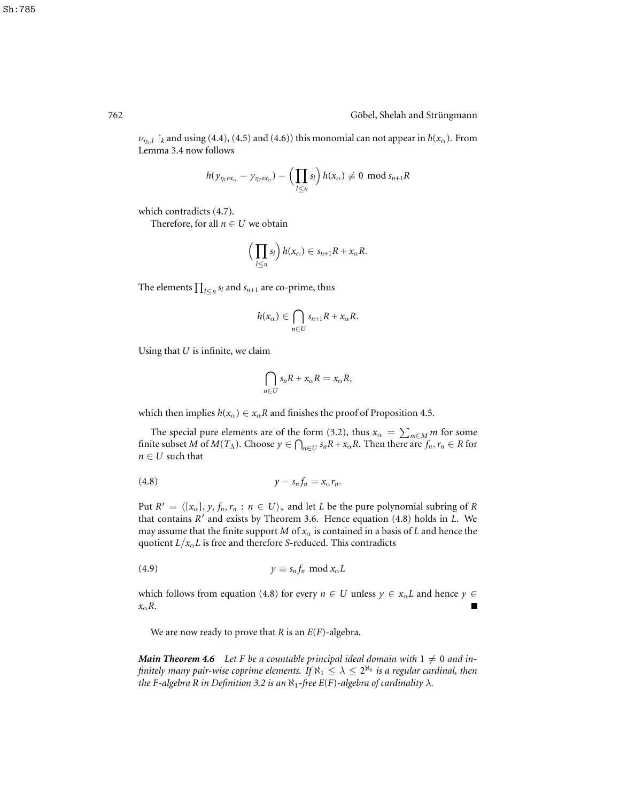762 Göbel, Shelah and Strüngmann

 $\nu_{n,l}$   $\upharpoonright_k$  and using (4.4), (4.5) and (4.6)) this monomial can not appear in  $h(x_\alpha)$ . From Lemma 3.4 now follows

$$
h(\mathbf{y}_{\eta_1\alpha x_\alpha}-\mathbf{y}_{\eta_2\alpha x_\alpha})-\left(\prod_{l\leq n}s_l\right)h(x_\alpha)\not\equiv 0\ \ \text{mod}\ s_{n+1}R
$$

which contradicts (4.7).

Therefore, for all  $n \in U$  we obtain

$$
\left(\prod_{l\leq n} s_l\right)h(x_\alpha)\in s_{n+1}R+x_\alpha R.
$$

The elements  $\prod_{l \leq n} s_l$  and  $s_{n+1}$  are co-prime, thus

$$
h(x_{\alpha}) \in \bigcap_{n \in U} s_{n+1}R + x_{\alpha}R.
$$

Using that *U* is infinite, we claim

$$
\bigcap_{n\in U}s_nR+x_{\alpha}R=x_{\alpha}R,
$$

which then implies  $h(x_\alpha) \in x_\alpha R$  and finishes the proof of Proposition 4.5.

The special pure elements are of the form (3.2), thus  $x_{\alpha} = \sum_{m \in M} m$  for some finite subset *M* of  $M(T_A)$ . Choose  $y \in \bigcap_{n \in U} s_n R + x_\alpha R$ . Then there are  $f_n, r_n \in R$  for  $n \in U$  such that

$$
(4.8) \t\t\t y - s_n f_n = x_\alpha r_n.
$$

Put  $R' = \langle [x_\alpha], y, f_n, r_n : n \in U \rangle_*$  and let *L* be the pure polynomial subring of *R* that contains *R'* and exists by Theorem 3.6. Hence equation (4.8) holds in *L*. We may assume that the finite support *M* of  $x_\alpha$  is contained in a basis of *L* and hence the quotient  $L/x_\alpha L$  is free and therefore *S*-reduced. This contradicts

$$
(4.9) \t\t\t y \equiv s_n f_n \bmod x_\alpha L
$$

which follows from equation (4.8) for every  $n \in U$  unless  $y \in x_\alpha L$  and hence  $y \in$ *x*α*R*.

We are now ready to prove that *R* is an *E*(*F*)-algebra.

*Main* **Theorem 4.6** Let *F* be a countable principal ideal domain with  $1 \neq 0$  and *in*finitely many pair-wise coprime elements. If  $\aleph_1 \leq \lambda \leq 2^{\aleph_0}$  is a regular cardinal, then *the F*-algebra *R in Definition* 3.2 *is* an  $\aleph_1$ -free *E*(*F*)-algebra of cardinality  $\lambda$ .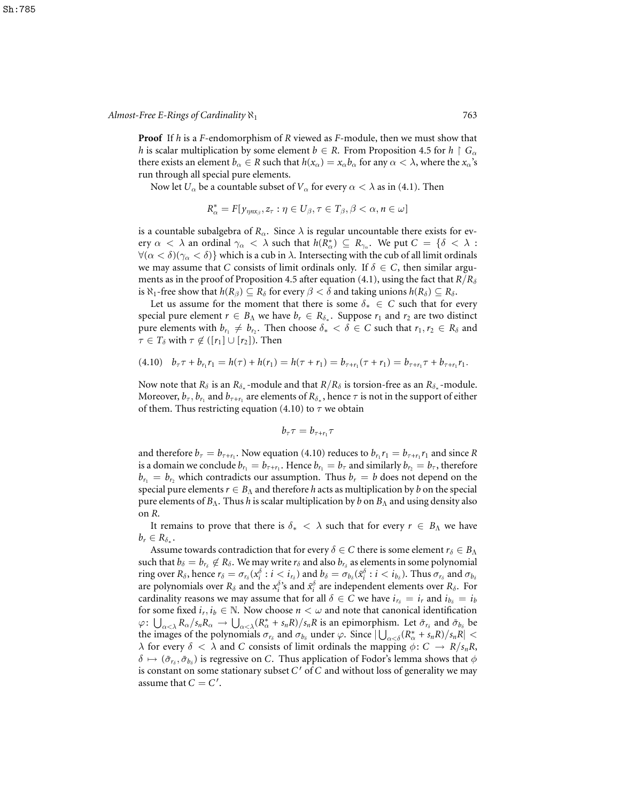**Proof** If *h* is a *F*-endomorphism of *R* viewed as *F*-module, then we must show that *h* is scalar multiplication by some element  $b \in R$ . From Proposition 4.5 for  $h \restriction G_\alpha$ there exists an element  $b_\alpha \in R$  such that  $h(x_\alpha) = x_\alpha b_\alpha$  for any  $\alpha < \lambda$ , where the  $x_\alpha$ 's run through all special pure elements.

Now let  $U_\alpha$  be a countable subset of  $V_\alpha$  for every  $\alpha < \lambda$  as in (4.1). Then

$$
R_{\alpha}^* = F[y_{\eta n x_{\beta}}, z_{\tau} : \eta \in U_{\beta}, \tau \in T_{\beta}, \beta < \alpha, n \in \omega]
$$

is a countable subalgebra of  $R_\alpha$ . Since  $\lambda$  is regular uncountable there exists for every  $\alpha < \lambda$  an ordinal  $\gamma_{\alpha} < \lambda$  such that  $h(R_{\alpha}^{*}) \subseteq R_{\gamma_{\alpha}}$ . We put  $C = \{\delta < \lambda :$  $\forall (\alpha < \delta)(\gamma_{\alpha} < \delta)$  which is a cub in  $\lambda$ . Intersecting with the cub of all limit ordinals we may assume that *C* consists of limit ordinals only. If  $\delta \in C$ , then similar arguments as in the proof of Proposition 4.5 after equation (4.1), using the fact that  $R/R_{\delta}$ is  $\aleph_1$ -free show that  $h(R_\beta) \subseteq R_\delta$  for every  $\beta < \delta$  and taking unions  $h(R_\delta) \subseteq R_\delta$ .

Let us assume for the moment that there is some  $\delta_* \in C$  such that for every special pure element  $r \in B_\Lambda$  we have  $b_r \in R_{\delta_*}$ . Suppose  $r_1$  and  $r_2$  are two distinct pure elements with  $b_{r_1} \neq b_{r_2}$ . Then choose  $\delta_* < \delta \in C$  such that  $r_1, r_2 \in R_\delta$  and  $\tau \in T_\delta$  with  $\tau \notin ([r_1] \cup [r_2])$ . Then

$$
(4.10) \quad b_{\tau}\tau + b_{r_1}r_1 = h(\tau) + h(r_1) = h(\tau + r_1) = b_{\tau + r_1}(\tau + r_1) = b_{\tau + r_1}\tau + b_{\tau + r_1}r_1.
$$

Now note that  $R_\delta$  is an  $R_{\delta_*}$ -module and that  $R/R_\delta$  is torsion-free as an  $R_{\delta_*}$ -module. Moreover,  $b_\tau, b_{r_1}$  and  $b_{\tau+r_1}$  are elements of  $R_{\delta_*},$  hence  $\tau$  is not in the support of either of them. Thus restricting equation (4.10) to  $\tau$  we obtain

$$
b_{\tau}\tau=b_{\tau+r_1}\tau
$$

and therefore  $b_\tau = b_{\tau+\tau_1}$ . Now equation (4.10) reduces to  $b_{r_1}r_1 = b_{\tau+r_1}r_1$  and since R is a domain we conclude  $b_{r_1} = b_{\tau+r_1}$ . Hence  $b_{r_1} = b_{\tau}$  and similarly  $b_{r_2} = b_{\tau}$ , therefore  $b_{r_1} = b_{r_2}$  which contradicts our assumption. Thus  $b_r = b$  does not depend on the special pure elements  $r \in B_\Lambda$  and therefore *h* acts as multiplication by *b* on the special pure elements of *B*Λ. Thus *h* is scalar multiplication by *b* on *B*<sup>Λ</sup> and using density also on *R*.

It remains to prove that there is  $\delta_* < \lambda$  such that for every  $r \in B_\Lambda$  we have  $b_r \in R_{\delta_*}$ .

Assume towards contradiction that for every  $\delta \in C$  there is some element  $r_{\delta} \in B_{\Lambda}$ such that  $b_\delta = b_{r_\delta} \not\in R_\delta$ . We may write  $r_\delta$  and also  $b_{r_\delta}$  as elements in some polynomial  $\text{ring over } R_\delta \text{, hence } r_\delta = \sigma_{r_\delta}(x_i^\delta : i \leq i_{r_\delta}) \text{ and } b_\delta = \sigma_{b_\delta}(\tilde{x}_i^\delta : i \leq i_{b_\delta})$ . Thus  $\sigma_{r_\delta}$  and  $\sigma_{b_\delta}$ are polynomials over  $R_\delta$  and the  $x_i^{\delta}$ 's and  $\tilde{x}_i^{\delta}$  are independent elements over  $R_\delta$ . For cardinality reasons we may assume that for all  $\delta \in C$  we have  $i_{r_{\delta}} = i_r$  and  $i_{b_{\delta}} = i_b$ for some fixed  $i_r, i_b \in \mathbb{N}$ . Now choose  $n < \omega$  and note that canonical identification  $\varphi \colon \bigcup_{\alpha < \lambda} R_{\alpha}/s_n R_{\alpha} \to \bigcup_{\alpha < \lambda} (R_{\alpha}^* + s_n R)/s_n R$  is an epimorphism. Let  $\bar{\sigma}_{r_{\delta}}$  and  $\bar{\sigma}_{b_{\delta}}$  be the images of the polynomials  $\sigma_{r_\delta}$  and  $\sigma_{b_\delta}$  under  $\varphi$ . Since  $|\bigcup_{\alpha < \delta} (R^*_{\alpha} + s_n R)/s_n R|$  $\lambda$  for every  $\delta < \lambda$  and *C* consists of limit ordinals the mapping  $\phi: C \to R/s_nR$ ,  $\delta \mapsto (\bar \sigma_{r_\delta}, \bar \sigma_{b_\delta})$  is regressive on C. Thus application of Fodor's lemma shows that  $\phi$ is constant on some stationary subset C' of C and without loss of generality we may assume that  $C = C'$ .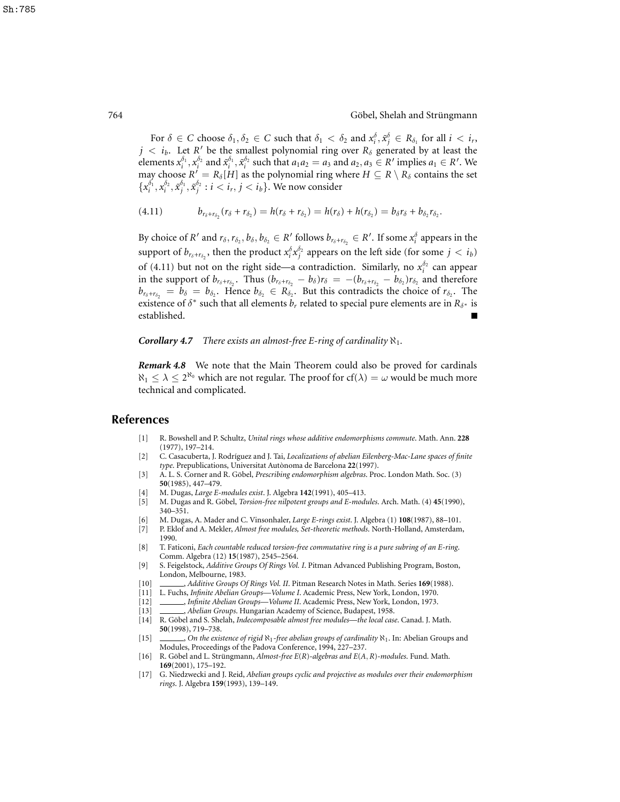For  $\delta \in C$  choose  $\delta_1, \delta_2 \in C$  such that  $\delta_1 < \delta_2$  and  $x_i^{\delta}, \tilde{x}_j^{\delta} \in R_{\delta_1}$  for all  $i < i_r$ ,  $j < i_b$ . Let *R*<sup>*l*</sup> be the smallest polynomial ring over  $R_\delta$  generated by at least the elements  $x_i^{\delta_1}, x_i^{\delta_2}$  and  $\tilde{x}_i^{\delta_1}, \tilde{x}_i^{\delta_2}$  such that  $a_1a_2 = a_3$  and  $a_2, a_3 \in R'$  implies  $a_1 \in R'$ . We may choose  $R' = R_\delta[H]$  as the polynomial ring where  $H \subseteq R \setminus R_\delta$  contains the set  ${x_i^{\delta_1}, x_i^{\delta_2}, \tilde{x}_j^{\delta_1}, \tilde{x}_j^{\delta_2} : i < i_r, j < i_b$ . We now consider

(4.11) 
$$
b_{r_{\delta}+r_{\delta_2}}(r_{\delta}+r_{\delta_2})=h(r_{\delta}+r_{\delta_2})=h(r_{\delta})+h(r_{\delta_2})=b_{\delta}r_{\delta}+b_{\delta_2}r_{\delta_2}.
$$

By choice of *R*<sup> $\prime$ </sup> and  $r_\delta$ ,  $r_{\delta_2}$ ,  $b_\delta$ ,  $b_{\delta_2} \in R'$  follows  $b_{r_\delta+r_{\delta_2}} \in R'$ . If some  $x_i^{\delta}$  appears in the support of  $b_{r_\delta+r_{\delta_2}}$ , then the product  $x_i^{\delta}x_j^{\delta_2}$  appears on the left side (for some  $j < i_b$ ) of (4.11) but not on the right side—a contradiction. Similarly, no  $x_i^{\delta_2}$  can appear in the support of  $b_{r_{\delta}+r_{\delta_2}}$ . Thus  $(b_{r_{\delta}+r_{\delta_2}}-b_{\delta})r_{\delta} = -(b_{r_{\delta}+r_{\delta_2}}-b_{\delta_2})r_{\delta_2}$  and therefore  $b_{r_{\delta}+r_{\delta_2}} = b_{\delta} = b_{\delta_2}$ . Hence  $b_{\delta_2} \in R_{\delta_2}$ . But this contradicts the choice of  $r_{\delta_2}$ . The existence of  $\delta^*$  such that all elements  $b_r$  related to special pure elements are in  $R_{\delta^*}$  is established.

*Corollary* **4.7** *There exists an almost-free E-ring of cardinality*  $\aleph_1$ *.* 

*Remark 4.8* We note that the Main Theorem could also be proved for cardinals  $\aleph_1 \leq \lambda \leq 2^{\aleph_0}$  which are not regular. The proof for  $cf(\lambda) = \omega$  would be much more technical and complicated.

#### **References**

- [1] R. Bowshell and P. Schultz, *Unital rings whose additive endomorphisms commute*. Math. Ann. **228** (1977), 197–214.
- [2] C. Casacuberta, J. Rodr´ıguez and J. Tai, *Localizations of abelian Eilenberg-Mac-Lane spaces of finite* type. Prepublications, Universitat Autònoma de Barcelona 22(1997).
- [3] A. L. S. Corner and R. Göbel, *Prescribing endomorphism algebras*. Proc. London Math. Soc. (3) **50**(1985), 447–479.
- [4] M. Dugas, *Large E-modules exist*. J. Algebra **142**(1991), 405–413.
- [5] M. Dugas and R. Göbel, *Torsion-free nilpotent groups and E-modules*. Arch. Math. (4) 45(1990), 340–351.
- [6] M. Dugas, A. Mader and C. Vinsonhaler, *Large E-rings exist*. J. Algebra (1) **108**(1987), 88–101.
- [7] P. Eklof and A. Mekler, *Almost free modules, Set-theoretic methods*. North-Holland, Amsterdam, 1990.
- [8] T. Faticoni, *Each countable reduced torsion-free commutative ring is a pure subring of an E-ring*. Comm. Algebra (12) **15**(1987), 2545–2564.
- [9] S. Feigelstock, *Additive Groups Of Rings Vol. I*. Pitman Advanced Publishing Program, Boston, London, Melbourne, 1983.
- [10] , *Additive Groups Of Rings Vol. II*. Pitman Research Notes in Math. Series **169**(1988).
- [11] L. Fuchs, *Infinite Abelian Groups—Volume I*. Academic Press, New York, London, 1970.
- [12] , *Infinite Abelian Groups—Volume II*. Academic Press, New York, London, 1973.
- [13] , *Abelian Groups*. Hungarian Academy of Science, Budapest, 1958.
- [14] R. Göbel and S. Shelah, *Indecomposable almost free modules—the local case*. Canad. J. Math. **50**(1998), 719–738.
- [15] , *On the existence of rigid* ℵ1*-free abelian groups of cardinality* ℵ1. In: Abelian Groups and Modules, Proceedings of the Padova Conference, 1994, 227–237.
- [16] R. Göbel and L. Strüngmann, *Almost-free E*(*R*)-algebras and *E*(*A*, *R*)-modules. Fund. Math. **169**(2001), 175–192.
- [17] G. Niedzwecki and J. Reid, *Abelian groups cyclic and projective as modules over their endomorphism rings*. J. Algebra **159**(1993), 139–149.